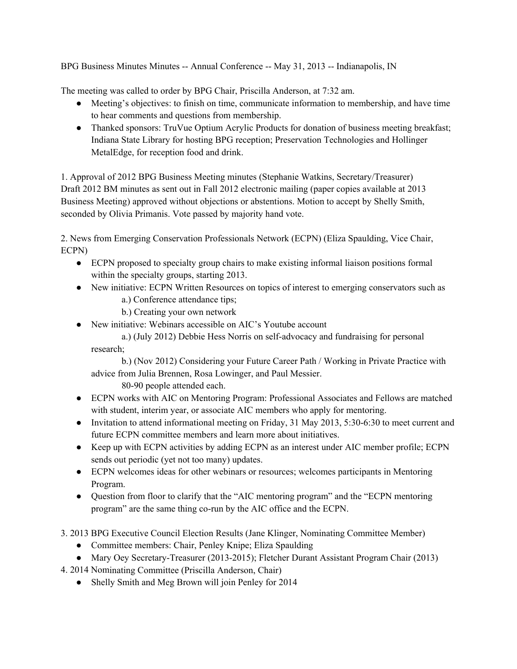BPG Business Minutes Minutes -- Annual Conference -- May 31, 2013 -- Indianapolis, IN

The meeting was called to order by BPG Chair, Priscilla Anderson, at 7:32 am.

- Meeting's objectives: to finish on time, communicate information to membership, and have time to hear comments and questions from membership.
- Thanked sponsors: TruVue Optium Acrylic Products for donation of business meeting breakfast; Indiana State Library for hosting BPG reception; Preservation Technologies and Hollinger MetalEdge, for reception food and drink.

1. Approval of 2012 BPG Business Meeting minutes (Stephanie Watkins, Secretary/Treasurer) Draft 2012 BM minutes as sent out in Fall 2012 electronic mailing (paper copies available at 2013 Business Meeting) approved without objections or abstentions. Motion to accept by Shelly Smith, seconded by Olivia Primanis. Vote passed by majority hand vote.

2. News from Emerging Conservation Professionals Network (ECPN) (Eliza Spaulding, Vice Chair, ECPN)

- ECPN proposed to specialty group chairs to make existing informal liaison positions formal within the specialty groups, starting 2013.
- New initiative: ECPN Written Resources on topics of interest to emerging conservators such as a.) Conference attendance tips;
	- b.) Creating your own network
- New initiative: Webinars accessible on AIC's Youtube account
	- a.) (July 2012) Debbie Hess Norris on self-advocacy and fundraising for personal research;

b.) (Nov 2012) Considering your Future Career Path / Working in Private Practice with advice from Julia Brennen, Rosa Lowinger, and Paul Messier.

80-90 people attended each.

- ECPN works with AIC on Mentoring Program: Professional Associates and Fellows are matched with student, interim year, or associate AIC members who apply for mentoring.
- Invitation to attend informational meeting on Friday, 31 May 2013, 5:30-6:30 to meet current and future ECPN committee members and learn more about initiatives.
- Keep up with ECPN activities by adding ECPN as an interest under AIC member profile; ECPN sends out periodic (yet not too many) updates.
- ECPN welcomes ideas for other webinars or resources; welcomes participants in Mentoring Program.
- Question from floor to clarify that the "AIC mentoring program" and the "ECPN mentoring program" are the same thing co-run by the AIC office and the ECPN.
- 3. 2013 BPG Executive Council Election Results (Jane Klinger, Nominating Committee Member)
	- Committee members: Chair, Penley Knipe; Eliza Spaulding
	- Mary Oey Secretary-Treasurer (2013-2015); Fletcher Durant Assistant Program Chair (2013)

4. 2014 Nominating Committee (Priscilla Anderson, Chair)

• Shelly Smith and Meg Brown will join Penley for 2014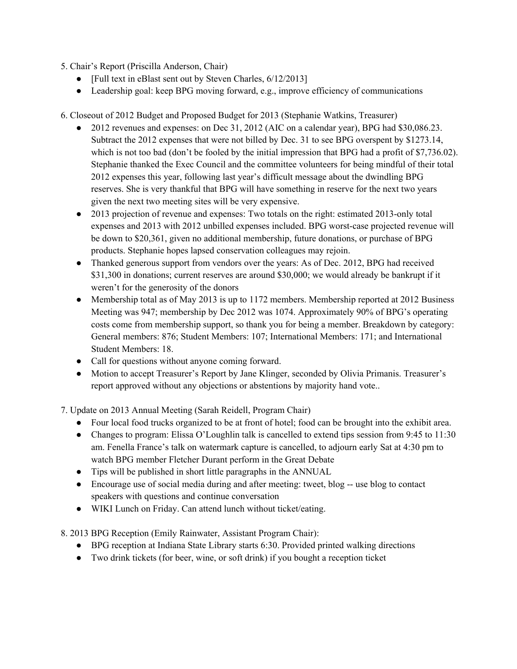- 5. Chair's Report (Priscilla Anderson, Chair)
	- [Full text in eBlast sent out by Steven Charles, 6/12/2013]
	- Leadership goal: keep BPG moving forward, e.g., improve efficiency of communications

6. Closeout of 2012 Budget and Proposed Budget for 2013 (Stephanie Watkins, Treasurer)

- 2012 revenues and expenses: on Dec 31, 2012 (AIC on a calendar year), BPG had \$30,086.23. Subtract the 2012 expenses that were not billed by Dec. 31 to see BPG overspent by \$1273.14, which is not too bad (don't be fooled by the initial impression that BPG had a profit of \$7,736.02). Stephanie thanked the Exec Council and the committee volunteers for being mindful of their total 2012 expenses this year, following last year's difficult message about the dwindling BPG reserves. She is very thankful that BPG will have something in reserve for the next two years given the next two meeting sites will be very expensive.
- 2013 projection of revenue and expenses: Two totals on the right: estimated 2013-only total expenses and 2013 with 2012 unbilled expenses included. BPG worst-case projected revenue will be down to \$20,361, given no additional membership, future donations, or purchase of BPG products. Stephanie hopes lapsed conservation colleagues may rejoin.
- Thanked generous support from vendors over the years: As of Dec. 2012, BPG had received \$31,300 in donations; current reserves are around \$30,000; we would already be bankrupt if it weren't for the generosity of the donors
- Membership total as of May 2013 is up to 1172 members. Membership reported at 2012 Business Meeting was 947; membership by Dec 2012 was 1074. Approximately 90% of BPG's operating costs come from membership support, so thank you for being a member. Breakdown by category: General members: 876; Student Members: 107; International Members: 171; and International Student Members: 18.
- Call for questions without anyone coming forward.
- Motion to accept Treasurer's Report by Jane Klinger, seconded by Olivia Primanis. Treasurer's report approved without any objections or abstentions by majority hand vote..

7. Update on 2013 Annual Meeting (Sarah Reidell, Program Chair)

- Four local food trucks organized to be at front of hotel; food can be brought into the exhibit area.
- Changes to program: Elissa O'Loughlin talk is cancelled to extend tips session from 9:45 to 11:30 am. Fenella France's talk on watermark capture is cancelled, to adjourn early Sat at 4:30 pm to watch BPG member Fletcher Durant perform in the Great Debate
- Tips will be published in short little paragraphs in the ANNUAL
- Encourage use of social media during and after meeting: tweet, blog -- use blog to contact speakers with questions and continue conversation
- WIKI Lunch on Friday. Can attend lunch without ticket/eating.

8. 2013 BPG Reception (Emily Rainwater, Assistant Program Chair):

- BPG reception at Indiana State Library starts 6:30. Provided printed walking directions
- Two drink tickets (for beer, wine, or soft drink) if you bought a reception ticket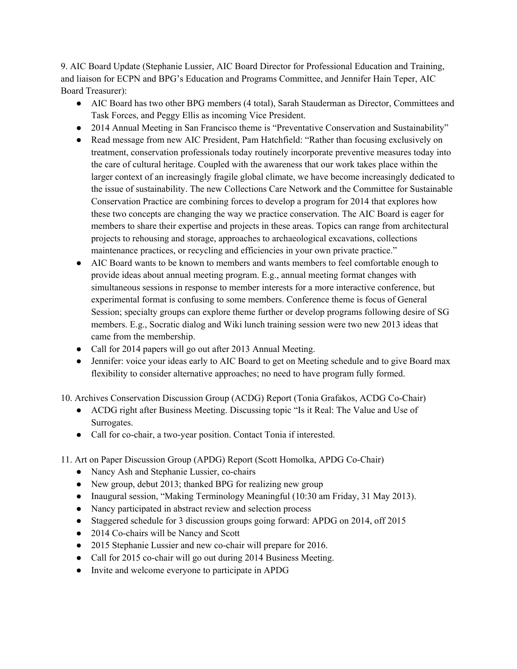9. AIC Board Update (Stephanie Lussier, AIC Board Director for Professional Education and Training, and liaison for ECPN and BPG's Education and Programs Committee, and Jennifer Hain Teper, AIC Board Treasurer):

- AIC Board has two other BPG members (4 total), Sarah Stauderman as Director, Committees and Task Forces, and Peggy Ellis as incoming Vice President.
- 2014 Annual Meeting in San Francisco theme is "Preventative Conservation and Sustainability"
- Read message from new AIC President, Pam Hatchfield: "Rather than focusing exclusively on treatment, conservation professionals today routinely incorporate preventive measures today into the care of cultural heritage. Coupled with the awareness that our work takes place within the larger context of an increasingly fragile global climate, we have become increasingly dedicated to the issue of sustainability. The new Collections Care Network and the Committee for Sustainable Conservation Practice are combining forces to develop a program for 2014 that explores how these two concepts are changing the way we practice conservation. The AIC Board is eager for members to share their expertise and projects in these areas. Topics can range from architectural projects to rehousing and storage, approaches to archaeological excavations, collections maintenance practices, or recycling and efficiencies in your own private practice."
- AIC Board wants to be known to members and wants members to feel comfortable enough to provide ideas about annual meeting program. E.g., annual meeting format changes with simultaneous sessions in response to member interests for a more interactive conference, but experimental format is confusing to some members. Conference theme is focus of General Session; specialty groups can explore theme further or develop programs following desire of SG members. E.g., Socratic dialog and Wiki lunch training session were two new 2013 ideas that came from the membership.
- Call for 2014 papers will go out after 2013 Annual Meeting.
- Jennifer: voice your ideas early to AIC Board to get on Meeting schedule and to give Board max flexibility to consider alternative approaches; no need to have program fully formed.

10. Archives Conservation Discussion Group (ACDG) Report (Tonia Grafakos, ACDG Co-Chair)

- ACDG right after Business Meeting. Discussing topic "Is it Real: The Value and Use of Surrogates.
- Call for co-chair, a two-year position. Contact Tonia if interested.
- 11. Art on Paper Discussion Group (APDG) Report (Scott Homolka, APDG Co-Chair)
	- Nancy Ash and Stephanie Lussier, co-chairs
	- New group, debut 2013; thanked BPG for realizing new group
	- Inaugural session, "Making Terminology Meaningful (10:30 am Friday, 31 May 2013).
	- Nancy participated in abstract review and selection process
	- Staggered schedule for 3 discussion groups going forward: APDG on 2014, off 2015
	- 2014 Co-chairs will be Nancy and Scott
	- 2015 Stephanie Lussier and new co-chair will prepare for 2016.
	- Call for 2015 co-chair will go out during 2014 Business Meeting.
	- Invite and welcome everyone to participate in APDG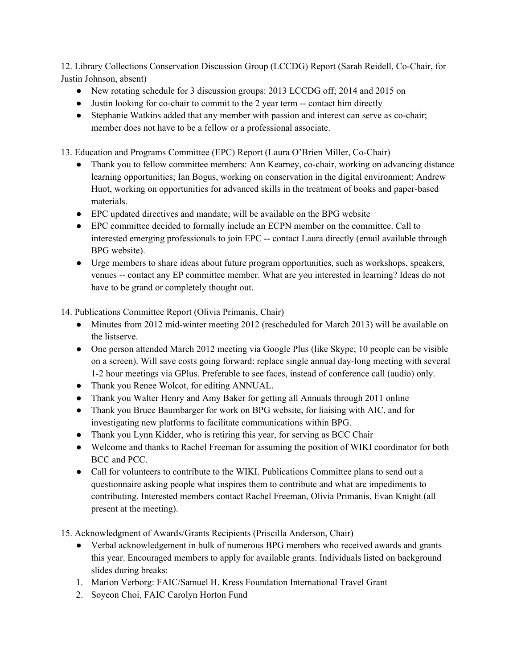12. Library Collections Conservation Discussion Group (LCCDG) Report (Sarah Reidell, Co-Chair, for Justin Johnson, absent)

- New rotating schedule for 3 discussion groups: 2013 LCCDG off; 2014 and 2015 on
- Justin looking for co-chair to commit to the 2 year term -- contact him directly
- Stephanie Watkins added that any member with passion and interest can serve as co-chair; member does not have to be a fellow or a professional associate.

13. Education and Programs Committee (EPC) Report (Laura O'Brien Miller, Co-Chair)

- Thank you to fellow committee members: Ann Kearney, co-chair, working on advancing distance learning opportunities; Ian Bogus, working on conservation in the digital environment; Andrew Huot, working on opportunities for advanced skills in the treatment of books and paper-based materials.
- EPC updated directives and mandate; will be available on the BPG website
- EPC committee decided to formally include an ECPN member on the committee. Call to interested emerging professionals to join EPC -- contact Laura directly (email available through BPG website).
- Urge members to share ideas about future program opportunities, such as workshops, speakers, venues -- contact any EP committee member. What are you interested in learning? Ideas do not have to be grand or completely thought out.

14. Publications Committee Report (Olivia Primanis, Chair)

- Minutes from 2012 mid-winter meeting 2012 (rescheduled for March 2013) will be available on the listserve.
- One person attended March 2012 meeting via Google Plus (like Skype; 10 people can be visible on a screen). Will save costs going forward: replace single annual day-long meeting with several 1-2 hour meetings via GPlus. Preferable to see faces, instead of conference call (audio) only.
- Thank you Renee Wolcot, for editing ANNUAL.
- Thank you Walter Henry and Amy Baker for getting all Annuals through 2011 online
- Thank you Bruce Baumbarger for work on BPG website, for liaising with AIC, and for investigating new platforms to facilitate communications within BPG.
- Thank you Lynn Kidder, who is retiring this year, for serving as BCC Chair
- Welcome and thanks to Rachel Freeman for assuming the position of WIKI coordinator for both BCC and PCC.
- Call for volunteers to contribute to the WIKI. Publications Committee plans to send out a questionnaire asking people what inspires them to contribute and what are impediments to contributing. Interested members contact Rachel Freeman, Olivia Primanis, Evan Knight (all present at the meeting).
- 15. Acknowledgment of Awards/Grants Recipients (Priscilla Anderson, Chair)
	- Verbal acknowledgement in bulk of numerous BPG members who received awards and grants this year. Encouraged members to apply for available grants. Individuals listed on background slides during breaks:
	- 1. Marion Verborg: FAIC/Samuel H. Kress Foundation International Travel Grant
	- 2. Soyeon Choi, FAIC Carolyn Horton Fund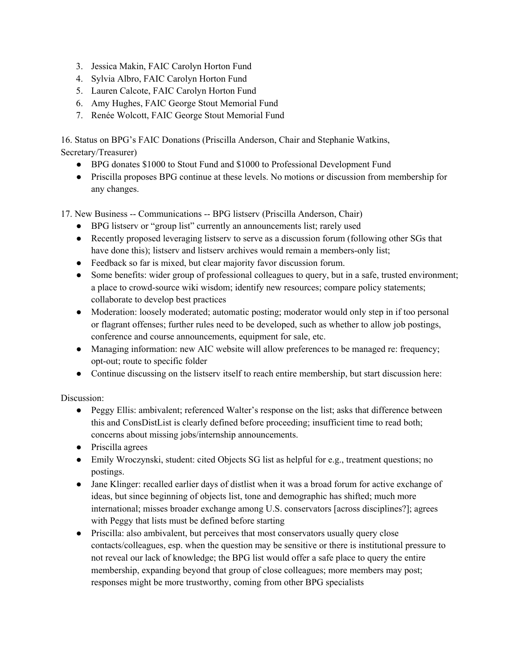- 3. Jessica Makin, FAIC Carolyn Horton Fund
- 4. Sylvia Albro, FAIC Carolyn Horton Fund
- 5. Lauren Calcote, FAIC Carolyn Horton Fund
- 6. Amy Hughes, FAIC George Stout Memorial Fund
- 7. Renée Wolcott, FAIC George Stout Memorial Fund

16. Status on BPG's FAIC Donations (Priscilla Anderson, Chair and Stephanie Watkins, Secretary/Treasurer)

- BPG donates \$1000 to Stout Fund and \$1000 to Professional Development Fund
- Priscilla proposes BPG continue at these levels. No motions or discussion from membership for any changes.

17. New Business -- Communications -- BPG listserv (Priscilla Anderson, Chair)

- BPG listserv or "group list" currently an announcements list; rarely used
- Recently proposed leveraging listserv to serve as a discussion forum (following other SGs that have done this); listserv and listserv archives would remain a members-only list;
- Feedback so far is mixed, but clear majority favor discussion forum.
- Some benefits: wider group of professional colleagues to query, but in a safe, trusted environment; a place to crowd-source wiki wisdom; identify new resources; compare policy statements; collaborate to develop best practices
- Moderation: loosely moderated; automatic posting; moderator would only step in if too personal or flagrant offenses; further rules need to be developed, such as whether to allow job postings, conference and course announcements, equipment for sale, etc.
- Managing information: new AIC website will allow preferences to be managed re: frequency; opt-out; route to specific folder
- Continue discussing on the listserv itself to reach entire membership, but start discussion here:

Discussion:

- Peggy Ellis: ambivalent; referenced Walter's response on the list; asks that difference between this and ConsDistList is clearly defined before proceeding; insufficient time to read both; concerns about missing jobs/internship announcements.
- Priscilla agrees
- Emily Wroczynski, student: cited Objects SG list as helpful for e.g., treatment questions; no postings.
- Jane Klinger: recalled earlier days of distlist when it was a broad forum for active exchange of ideas, but since beginning of objects list, tone and demographic has shifted; much more international; misses broader exchange among U.S. conservators [across disciplines?]; agrees with Peggy that lists must be defined before starting
- Priscilla: also ambivalent, but perceives that most conservators usually query close contacts/colleagues, esp. when the question may be sensitive or there is institutional pressure to not reveal our lack of knowledge; the BPG list would offer a safe place to query the entire membership, expanding beyond that group of close colleagues; more members may post; responses might be more trustworthy, coming from other BPG specialists